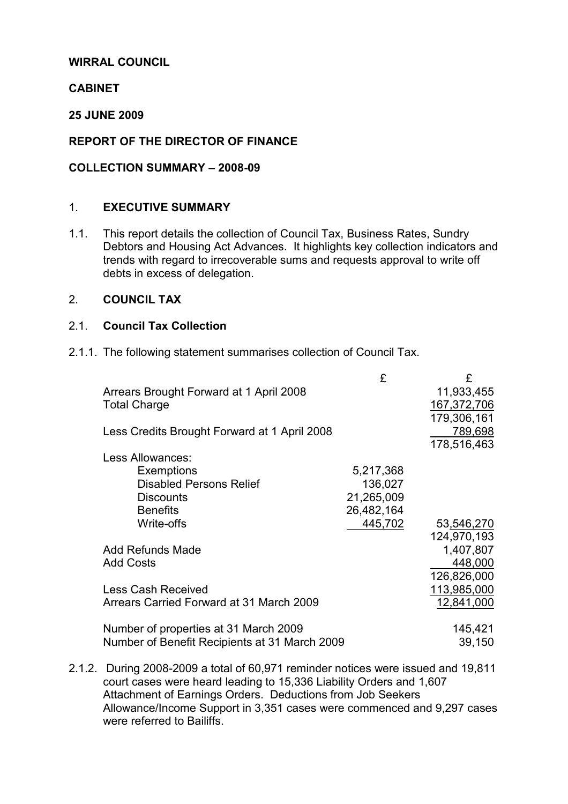## WIRRAL COUNCIL

## **CABINET**

25 JUNE 2009

## REPORT OF THE DIRECTOR OF FINANCE

#### COLLECTION SUMMARY – 2008-09

#### 1. EXECUTIVE SUMMARY

1.1. This report details the collection of Council Tax, Business Rates, Sundry Debtors and Housing Act Advances. It highlights key collection indicators and trends with regard to irrecoverable sums and requests approval to write off debts in excess of delegation.

#### 2. COUNCIL TAX

#### 2.1. Council Tax Collection

2.1.1. The following statement summarises collection of Council Tax.

|                                               | £          | £           |
|-----------------------------------------------|------------|-------------|
| Arrears Brought Forward at 1 April 2008       |            | 11,933,455  |
| <b>Total Charge</b>                           |            | 167,372,706 |
|                                               |            | 179,306,161 |
| Less Credits Brought Forward at 1 April 2008  |            | 789,698     |
|                                               |            | 178,516,463 |
| Less Allowances:                              |            |             |
| <b>Exemptions</b>                             | 5,217,368  |             |
| <b>Disabled Persons Relief</b>                | 136,027    |             |
| <b>Discounts</b>                              | 21,265,009 |             |
| <b>Benefits</b>                               | 26,482,164 |             |
| Write-offs                                    | 445,702    | 53,546,270  |
|                                               |            | 124,970,193 |
| <b>Add Refunds Made</b>                       |            | 1,407,807   |
| <b>Add Costs</b>                              |            | 448,000     |
|                                               |            | 126,826,000 |
| <b>Less Cash Received</b>                     |            | 113,985,000 |
| Arrears Carried Forward at 31 March 2009      |            | 12,841,000  |
|                                               |            |             |
| Number of properties at 31 March 2009         |            | 145,421     |
| Number of Benefit Recipients at 31 March 2009 |            | 39,150      |
|                                               |            |             |

2.1.2. During 2008-2009 a total of 60,971 reminder notices were issued and 19,811 court cases were heard leading to 15,336 Liability Orders and 1,607 Attachment of Earnings Orders. Deductions from Job Seekers Allowance/Income Support in 3,351 cases were commenced and 9,297 cases were referred to Bailiffs.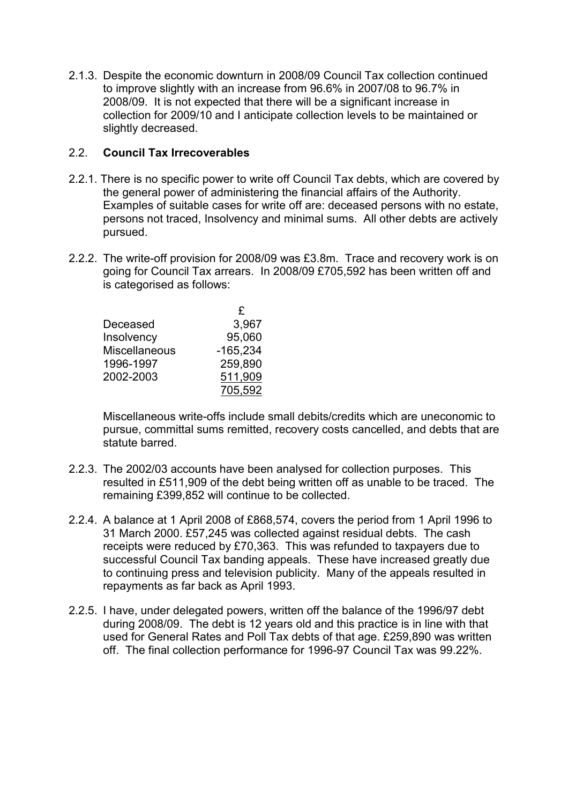2.1.3. Despite the economic downturn in 2008/09 Council Tax collection continued to improve slightly with an increase from 96.6% in 2007/08 to 96.7% in 2008/09. It is not expected that there will be a significant increase in collection for 2009/10 and I anticipate collection levels to be maintained or slightly decreased.

## 2.2. Council Tax Irrecoverables

- 2.2.1. There is no specific power to write off Council Tax debts, which are covered by the general power of administering the financial affairs of the Authority. Examples of suitable cases for write off are: deceased persons with no estate, persons not traced, Insolvency and minimal sums. All other debts are actively pursued.
- 2.2.2. The write-off provision for 2008/09 was £3.8m. Trace and recovery work is on going for Council Tax arrears. In 2008/09 £705,592 has been written off and is categorised as follows:

|                      | £          |
|----------------------|------------|
| Deceased             | 3,967      |
| Insolvency           | 95,060     |
| <b>Miscellaneous</b> | $-165,234$ |
| 1996-1997            | 259,890    |
| 2002-2003            | 511,909    |
|                      | 705,592    |

Miscellaneous write-offs include small debits/credits which are uneconomic to pursue, committal sums remitted, recovery costs cancelled, and debts that are statute barred.

- 2.2.3. The 2002/03 accounts have been analysed for collection purposes. This resulted in £511,909 of the debt being written off as unable to be traced. The remaining £399,852 will continue to be collected.
- 2.2.4. A balance at 1 April 2008 of £868,574, covers the period from 1 April 1996 to 31 March 2000. £57,245 was collected against residual debts. The cash receipts were reduced by £70,363. This was refunded to taxpayers due to successful Council Tax banding appeals. These have increased greatly due to continuing press and television publicity. Many of the appeals resulted in repayments as far back as April 1993.
- 2.2.5. I have, under delegated powers, written off the balance of the 1996/97 debt during 2008/09. The debt is 12 years old and this practice is in line with that used for General Rates and Poll Tax debts of that age. £259,890 was written off. The final collection performance for 1996-97 Council Tax was 99.22%.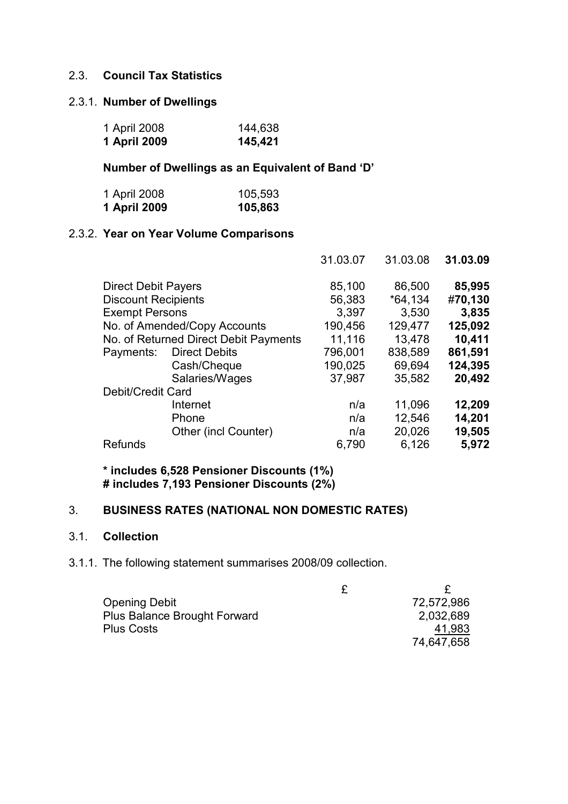## 2.3. Council Tax Statistics

#### 2.3.1. Number of Dwellings

| 1 April 2008 | 144,638 |
|--------------|---------|
| 1 April 2009 | 145,421 |

## Number of Dwellings as an Equivalent of Band 'D'

| 1 April 2008 | 105,593 |
|--------------|---------|
| 1 April 2009 | 105,863 |

## 2.3.2. Year on Year Volume Comparisons

|                            |                                       | 31.03.07 | 31.03.08  | 31.03.09 |
|----------------------------|---------------------------------------|----------|-----------|----------|
| <b>Direct Debit Payers</b> |                                       | 85,100   | 86,500    | 85,995   |
| <b>Discount Recipients</b> |                                       | 56,383   | $*64,134$ | #70,130  |
| <b>Exempt Persons</b>      |                                       | 3,397    | 3,530     | 3,835    |
|                            | No. of Amended/Copy Accounts          | 190,456  | 129,477   | 125,092  |
|                            | No. of Returned Direct Debit Payments | 11,116   | 13,478    | 10,411   |
| Payments:                  | <b>Direct Debits</b>                  | 796,001  | 838,589   | 861,591  |
|                            | Cash/Cheque                           | 190,025  | 69,694    | 124,395  |
|                            | Salaries/Wages                        | 37,987   | 35,582    | 20,492   |
| Debit/Credit Card          |                                       |          |           |          |
|                            | Internet                              | n/a      | 11,096    | 12,209   |
|                            | Phone                                 | n/a      | 12,546    | 14,201   |
|                            | Other (incl Counter)                  | n/a      | 20,026    | 19,505   |
| <b>Refunds</b>             |                                       | 6,790    | 6,126     | 5.972    |
|                            |                                       |          |           |          |

\* includes 6,528 Pensioner Discounts (1%) # includes 7,193 Pensioner Discounts (2%)

# 3. BUSINESS RATES (NATIONAL NON DOMESTIC RATES)

#### 3.1. Collection

3.1.1. The following statement summarises 2008/09 collection.

| <b>Opening Debit</b>                | 72,572,986 |
|-------------------------------------|------------|
| <b>Plus Balance Brought Forward</b> | 2,032,689  |
| <b>Plus Costs</b>                   | 41.983     |
|                                     | 74,647,658 |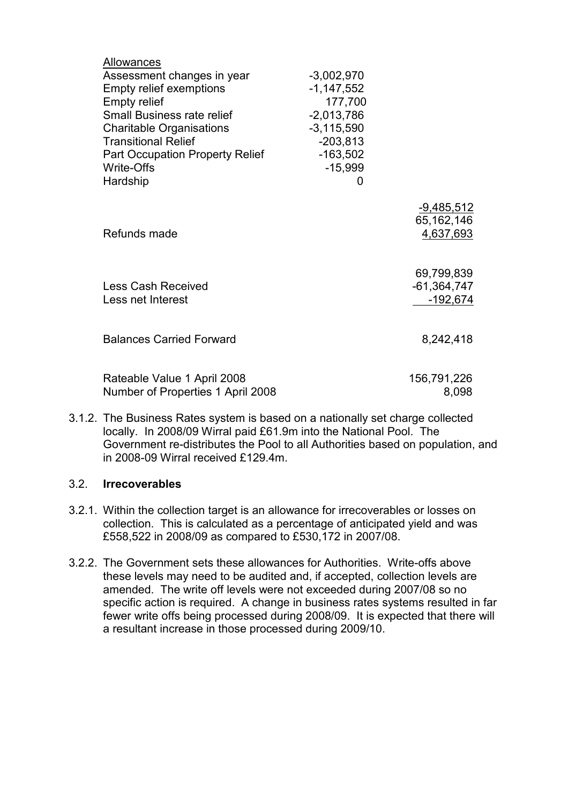| Allowances<br>Assessment changes in year<br><b>Empty relief exemptions</b><br><b>Empty relief</b><br><b>Small Business rate relief</b><br><b>Charitable Organisations</b><br><b>Transitional Relief</b><br><b>Part Occupation Property Relief</b> | $-3,002,970$<br>$-1,147,552$<br>177,700<br>$-2,013,786$<br>$-3,115,590$<br>$-203,813$<br>$-163,502$ |                                                |
|---------------------------------------------------------------------------------------------------------------------------------------------------------------------------------------------------------------------------------------------------|-----------------------------------------------------------------------------------------------------|------------------------------------------------|
| Write-Offs                                                                                                                                                                                                                                        | $-15,999$                                                                                           |                                                |
| Hardship                                                                                                                                                                                                                                          | O                                                                                                   |                                                |
| Refunds made                                                                                                                                                                                                                                      |                                                                                                     | <u>-9,485,512</u><br>65, 162, 146<br>4,637,693 |
| <b>Less Cash Received</b><br>Less net Interest                                                                                                                                                                                                    |                                                                                                     | 69,799,839<br>$-61,364,747$<br>$-192,674$      |
| <b>Balances Carried Forward</b>                                                                                                                                                                                                                   |                                                                                                     | 8,242,418                                      |
| Rateable Value 1 April 2008<br>Number of Properties 1 April 2008                                                                                                                                                                                  |                                                                                                     | 156,791,226<br>8,098                           |

3.1.2. The Business Rates system is based on a nationally set charge collected locally. In 2008/09 Wirral paid £61.9m into the National Pool. The Government re-distributes the Pool to all Authorities based on population, and in 2008-09 Wirral received £129.4m.

#### 3.2. Irrecoverables

- 3.2.1. Within the collection target is an allowance for irrecoverables or losses on collection. This is calculated as a percentage of anticipated yield and was £558,522 in 2008/09 as compared to £530,172 in 2007/08.
- 3.2.2. The Government sets these allowances for Authorities. Write-offs above these levels may need to be audited and, if accepted, collection levels are amended. The write off levels were not exceeded during 2007/08 so no specific action is required. A change in business rates systems resulted in far fewer write offs being processed during 2008/09. It is expected that there will a resultant increase in those processed during 2009/10.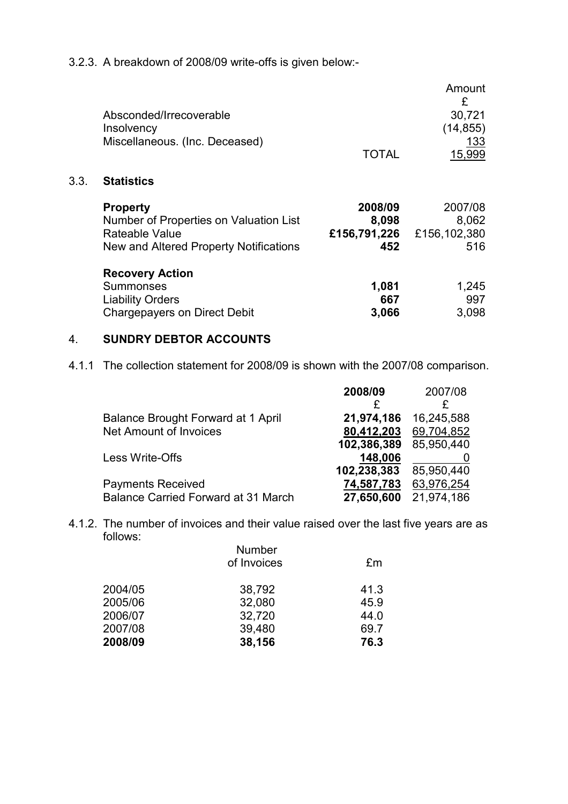3.2.3. A breakdown of 2008/09 write-offs is given below:-

|      | Absconded/Irrecoverable<br>Insolvency<br>Miscellaneous. (Inc. Deceased)                                               | <b>TOTAL</b>                            | Amount<br>£<br>30,721<br>(14, 855)<br>133<br>15,999 |
|------|-----------------------------------------------------------------------------------------------------------------------|-----------------------------------------|-----------------------------------------------------|
| 3.3. | <b>Statistics</b>                                                                                                     |                                         |                                                     |
|      | <b>Property</b><br>Number of Properties on Valuation List<br>Rateable Value<br>New and Altered Property Notifications | 2008/09<br>8,098<br>£156,791,226<br>452 | 2007/08<br>8,062<br>£156,102,380<br>516             |
|      | <b>Recovery Action</b><br>Summonses<br><b>Liability Orders</b><br><b>Chargepayers on Direct Debit</b>                 | 1,081<br>667<br>3,066                   | 1,245<br>997<br>3,098                               |

#### 4. SUNDRY DEBTOR ACCOUNTS

4.1.1 The collection statement for 2008/09 is shown with the 2007/08 comparison.

|                                            | 2008/09     | 2007/08    |
|--------------------------------------------|-------------|------------|
|                                            |             | £          |
| <b>Balance Brought Forward at 1 April</b>  | 21,974,186  | 16,245,588 |
| <b>Net Amount of Invoices</b>              | 80,412,203  | 69,704,852 |
|                                            | 102,386,389 | 85,950,440 |
| Less Write-Offs                            | 148,006     |            |
|                                            | 102,238,383 | 85,950,440 |
| <b>Payments Received</b>                   | 74,587,783  | 63,976,254 |
| <b>Balance Carried Forward at 31 March</b> | 27,650,600  | 21,974,186 |

4.1.2. The number of invoices and their value raised over the last five years are as follows:

|         | <b>Number</b> |      |
|---------|---------------|------|
|         | of Invoices   | £m   |
| 2004/05 | 38,792        | 41.3 |
| 2005/06 | 32,080        | 45.9 |
| 2006/07 | 32,720        | 44.0 |
| 2007/08 | 39,480        | 69.7 |
| 2008/09 | 38,156        | 76.3 |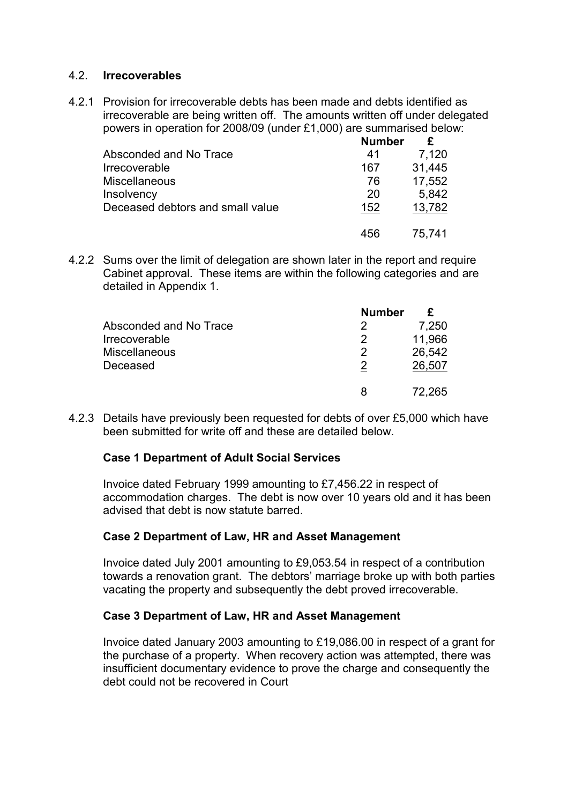#### 4.2. Irrecoverables

4.2.1 Provision for irrecoverable debts has been made and debts identified as irrecoverable are being written off. The amounts written off under delegated powers in operation for 2008/09 (under £1,000) are summarised below:

|                                    | <b>Number</b> |        |
|------------------------------------|---------------|--------|
| Absconded and No Trace             | 41            | 7,120  |
| <i><u><b>Irrecoverable</b></u></i> | 167           | 31,445 |
| <b>Miscellaneous</b>               | 76            | 17,552 |
| Insolvency                         | 20            | 5,842  |
| Deceased debtors and small value   | 152           | 13,782 |
|                                    | 456           | 75,741 |

4.2.2 Sums over the limit of delegation are shown later in the report and require Cabinet approval. These items are within the following categories and are detailed in Appendix 1.

|                        | <b>Number</b> |        |
|------------------------|---------------|--------|
| Absconded and No Trace |               | 7,250  |
| Irrecoverable          |               | 11,966 |
| <b>Miscellaneous</b>   |               | 26,542 |
| Deceased               |               | 26,507 |
|                        |               | 72.265 |

4.2.3 Details have previously been requested for debts of over £5,000 which have been submitted for write off and these are detailed below.

#### Case 1 Department of Adult Social Services

Invoice dated February 1999 amounting to £7,456.22 in respect of accommodation charges. The debt is now over 10 years old and it has been advised that debt is now statute barred.

#### Case 2 Department of Law, HR and Asset Management

Invoice dated July 2001 amounting to £9,053.54 in respect of a contribution towards a renovation grant. The debtors' marriage broke up with both parties vacating the property and subsequently the debt proved irrecoverable.

#### Case 3 Department of Law, HR and Asset Management

Invoice dated January 2003 amounting to £19,086.00 in respect of a grant for the purchase of a property. When recovery action was attempted, there was insufficient documentary evidence to prove the charge and consequently the debt could not be recovered in Court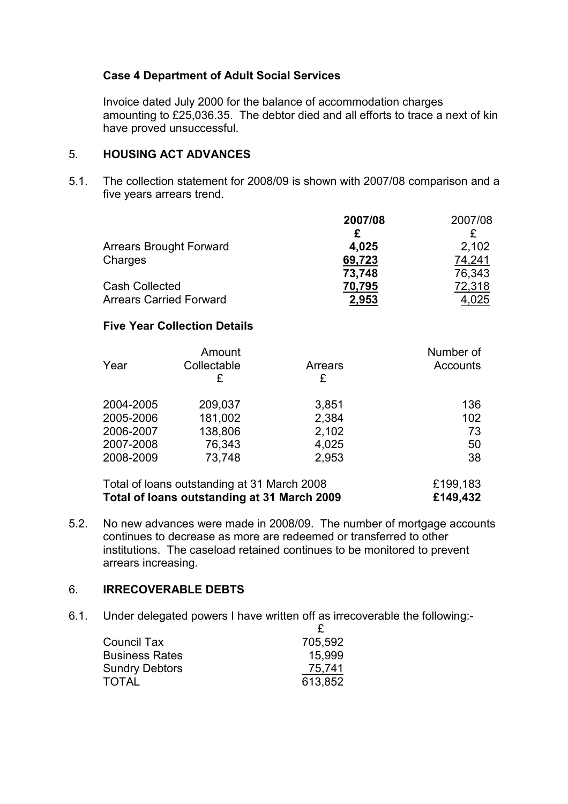## Case 4 Department of Adult Social Services

Invoice dated July 2000 for the balance of accommodation charges amounting to £25,036.35. The debtor died and all efforts to trace a next of kin have proved unsuccessful.

## 5. HOUSING ACT ADVANCES

5.1. The collection statement for 2008/09 is shown with 2007/08 comparison and a five years arrears trend.

|                                | 2007/08 | 2007/08 |
|--------------------------------|---------|---------|
|                                |         |         |
| <b>Arrears Brought Forward</b> | 4,025   | 2,102   |
| Charges                        | 69,723  | 74,241  |
|                                | 73,748  | 76,343  |
| <b>Cash Collected</b>          | 70,795  | 72,318  |
| <b>Arrears Carried Forward</b> | 2,953   | 4.025   |

## Five Year Collection Details

|           | Amount      |         | Number of       |
|-----------|-------------|---------|-----------------|
| Year      | Collectable | Arrears | <b>Accounts</b> |
|           | £           | £       |                 |
| 2004-2005 | 209,037     | 3,851   | 136             |
| 2005-2006 | 181,002     | 2,384   | 102             |
| 2006-2007 | 138,806     | 2,102   | 73              |
| 2007-2008 | 76,343      | 4,025   | 50              |
| 2008-2009 | 73,748      | 2,953   | 38              |
|           |             |         |                 |

| Total of loans outstanding at 31 March 2008 | £199,183 |
|---------------------------------------------|----------|
| Total of loans outstanding at 31 March 2009 | £149,432 |

5.2. No new advances were made in 2008/09. The number of mortgage accounts continues to decrease as more are redeemed or transferred to other institutions. The caseload retained continues to be monitored to prevent arrears increasing.

## 6. IRRECOVERABLE DEBTS

6.1. Under delegated powers I have written off as irrecoverable the following:-

| <b>Council Tax</b>    | 705,592 |
|-----------------------|---------|
| <b>Business Rates</b> | 15,999  |
| <b>Sundry Debtors</b> | 75,741  |
| <b>TOTAL</b>          | 613,852 |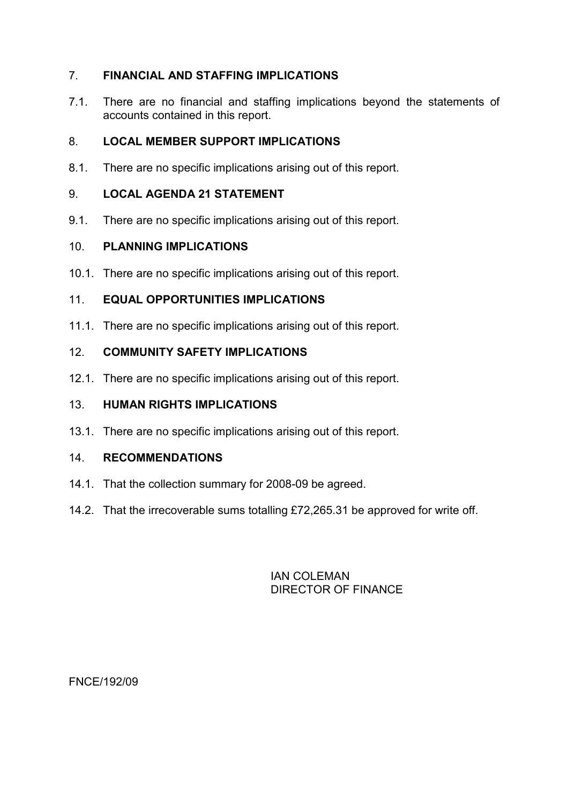## 7. FINANCIAL AND STAFFING IMPLICATIONS

7.1. There are no financial and staffing implications beyond the statements of accounts contained in this report.

# 8. LOCAL MEMBER SUPPORT IMPLICATIONS

8.1. There are no specific implications arising out of this report.

# 9. LOCAL AGENDA 21 STATEMENT

9.1. There are no specific implications arising out of this report.

# 10. PLANNING IMPLICATIONS

10.1. There are no specific implications arising out of this report.

# 11. EQUAL OPPORTUNITIES IMPLICATIONS

11.1. There are no specific implications arising out of this report.

# 12. COMMUNITY SAFETY IMPLICATIONS

12.1. There are no specific implications arising out of this report.

## 13. HUMAN RIGHTS IMPLICATIONS

13.1. There are no specific implications arising out of this report.

## 14. RECOMMENDATIONS

- 14.1. That the collection summary for 2008-09 be agreed.
- 14.2. That the irrecoverable sums totalling £72,265.31 be approved for write off.

## IAN COLEMAN DIRECTOR OF FINANCE

FNCE/192/09